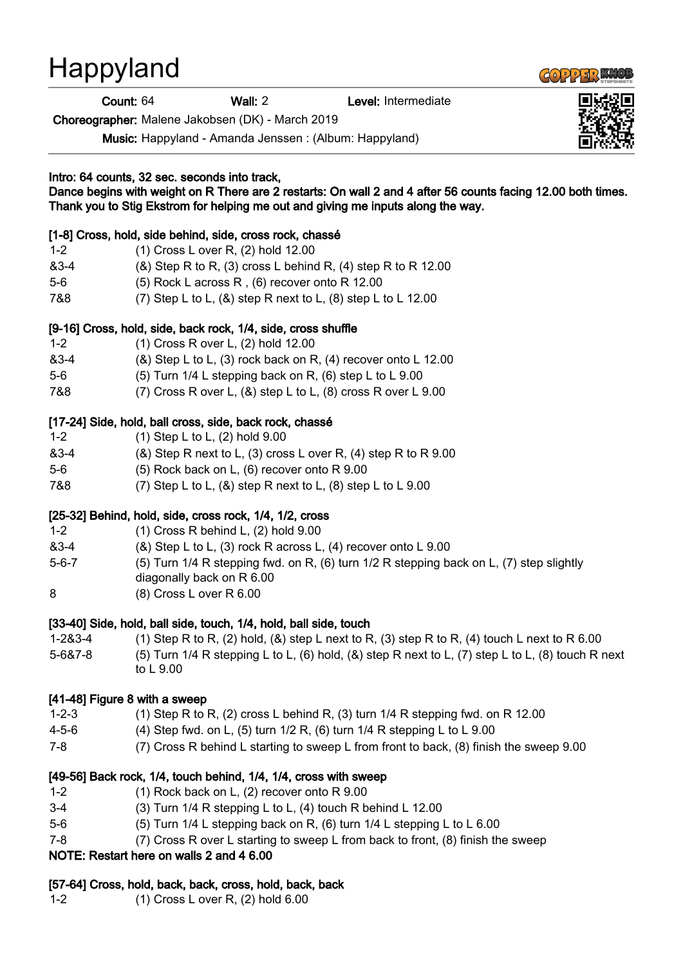# Happyland

Count: 64 Wall: 2 Level: Intermediate

Choreographer: Malene Jakobsen (DK) - March 2019

Music: Happyland - Amanda Jenssen : (Album: Happyland)

# Intro: 64 counts, 32 sec. seconds into track, Dance begins with weight on R There are 2 restarts: On wall 2 and 4 after 56 counts facing 12.00 both times. Thank you to Stig Ekstrom for helping me out and giving me inputs along the way. [1-8] Cross, hold, side behind, side, cross rock, chassé 1-2 (1) Cross L over R, (2) hold 12.00

- &3-4 (&) Step R to R, (3) cross L behind R, (4) step R to R 12.00
- 5-6 (5) Rock L across R , (6) recover onto R 12.00
- 7&8 (7) Step L to L, (&) step R next to L, (8) step L to L 12.00

## [9-16] Cross, hold, side, back rock, 1/4, side, cross shuffle

- 1-2 (1) Cross R over L, (2) hold 12.00
- $\&3-4$  ( $\&8$ ) Step L to L, (3) rock back on R, (4) recover onto L 12.00
- 5-6 (5) Turn 1/4 L stepping back on R, (6) step L to L 9.00
- 7&8 (7) Cross R over L, (&) step L to L, (8) cross R over L 9.00

## [17-24] Side, hold, ball cross, side, back rock, chassé

| $1 - 2$ | $(1)$ Step L to L, $(2)$ hold 9.00                                   |
|---------|----------------------------------------------------------------------|
| &3-4    | $(8)$ Step R next to L, $(3)$ cross L over R, $(4)$ step R to R 9.00 |
| 5-6     | $(5)$ Rock back on L, $(6)$ recover onto R 9.00                      |
| 7&8     | (7) Step L to L, $(8)$ step R next to L, $(8)$ step L to L 9.00      |

#### [25-32] Behind, hold, side, cross rock, 1/4, 1/2, cross

| $1 - 2$     | $(1)$ Cross R behind L, $(2)$ hold $9.00$                                                                            |
|-------------|----------------------------------------------------------------------------------------------------------------------|
| $83 - 4$    | $(8)$ Step L to L, $(3)$ rock R across L, $(4)$ recover onto L 9.00                                                  |
| $5 - 6 - 7$ | (5) Turn 1/4 R stepping fwd. on R, (6) turn 1/2 R stepping back on L, (7) step slightly<br>diagonally back on R 6.00 |
| 8           | $(8)$ Cross L over R 6.00                                                                                            |

#### [33-40] Side, hold, ball side, touch, 1/4, hold, ball side, touch

1-2&3-4 (1) Step R to R, (2) hold, (&) step L next to R, (3) step R to R, (4) touch L next to R 6.00 5-6&7-8 (5) Turn 1/4 R stepping L to L, (6) hold, (&) step R next to L, (7) step L to L, (8) touch R next to L 9.00

#### [41-48] Figure 8 with a sweep

- 1-2-3 (1) Step R to R, (2) cross L behind R, (3) turn 1/4 R stepping fwd. on R 12.00
- 4-5-6 (4) Step fwd. on L, (5) turn 1/2 R, (6) turn 1/4 R stepping L to L 9.00
- 7-8 (7) Cross R behind L starting to sweep L from front to back, (8) finish the sweep 9.00

#### [49-56] Back rock, 1/4, touch behind, 1/4, 1/4, cross with sweep

- 1-2 (1) Rock back on L, (2) recover onto R 9.00
- 3-4 (3) Turn 1/4 R stepping L to L, (4) touch R behind L 12.00
- 5-6 (5) Turn 1/4 L stepping back on R, (6) turn 1/4 L stepping L to L 6.00
- 7-8 (7) Cross R over L starting to sweep L from back to front, (8) finish the sweep

#### NOTE: Restart here on walls 2 and 4 6.00

#### [57-64] Cross, hold, back, back, cross, hold, back, back

1-2 (1) Cross L over R, (2) hold 6.00